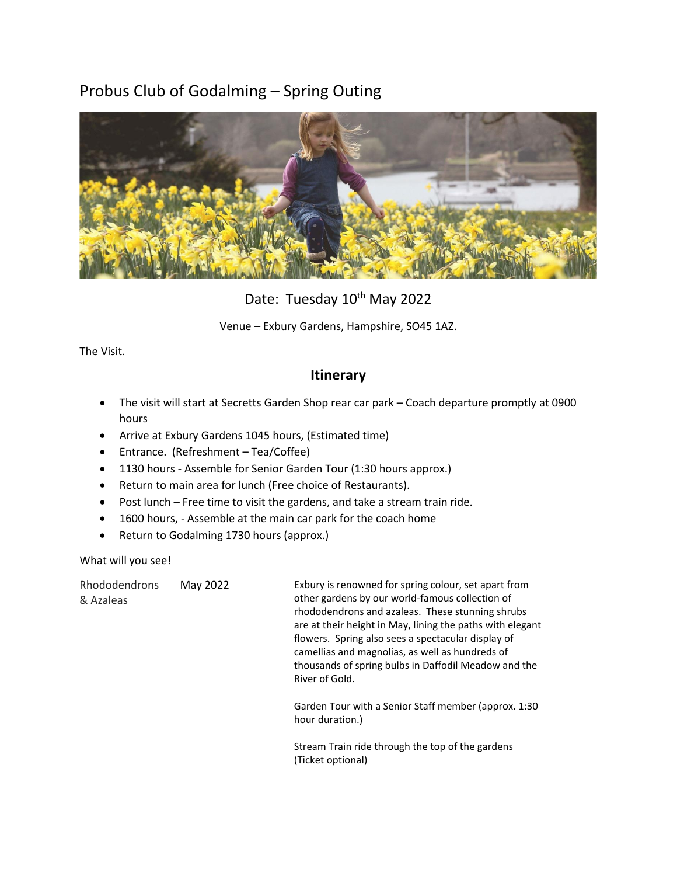# Probus Club of Godalming – Spring Outing



Date: Tuesday 10<sup>th</sup> May 2022

Venue – Exbury Gardens, Hampshire, SO45 1AZ.

The Visit.

### **Itinerary**

- The visit will start at Secretts Garden Shop rear car park Coach departure promptly at 0900 hours
- Arrive at Exbury Gardens 1045 hours, (Estimated time)
- Entrance. (Refreshment Tea/Coffee)
- 1130 hours Assemble for Senior Garden Tour (1:30 hours approx.)
- Return to main area for lunch (Free choice of Restaurants).
- Post lunch Free time to visit the gardens, and take a stream train ride.
- 1600 hours, Assemble at the main car park for the coach home
- Return to Godalming 1730 hours (approx.)

What will you see!

Rhododendrons & Azaleas

May 2022 Exbury is renowned for spring colour, set apart from other gardens by our world-famous collection of rhododendrons and azaleas. These stunning shrubs are at their height in May, lining the paths with elegant flowers. Spring also sees a spectacular display of camellias and magnolias, as well as hundreds of thousands of spring bulbs in Daffodil Meadow and the River of Gold.

> Garden Tour with a Senior Staff member (approx. 1:30 hour duration.)

Stream Train ride through the top of the gardens (Ticket optional)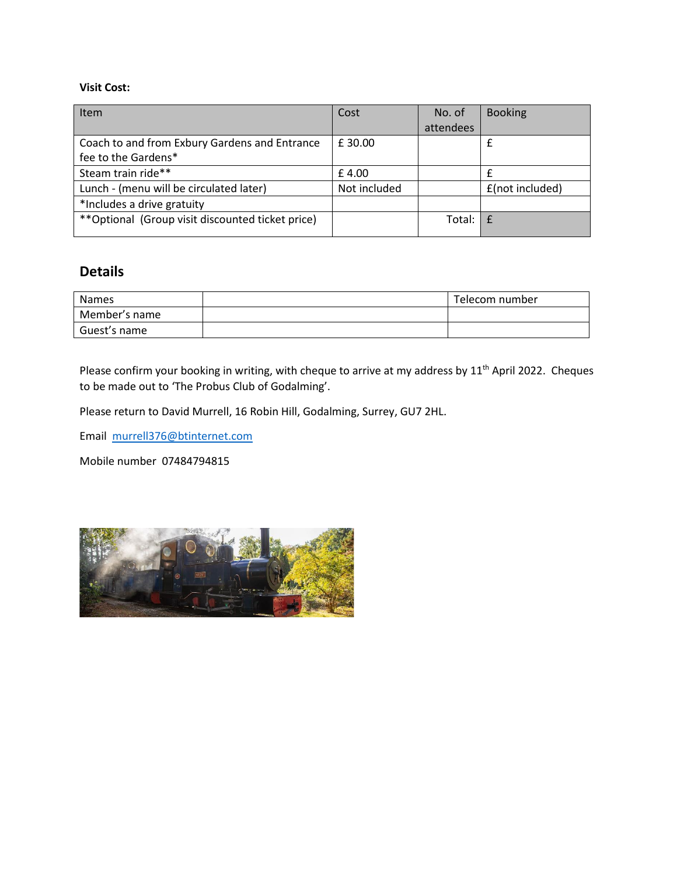#### **Visit Cost:**

| Cost         | No. of     | <b>Booking</b>  |
|--------------|------------|-----------------|
|              | attendees  |                 |
| £30.00       |            | £               |
|              |            |                 |
| £4.00        |            |                 |
| Not included |            | £(not included) |
|              |            |                 |
|              | Total: $E$ |                 |
|              |            |                 |

## **Details**

| <b>Names</b>  | Telecom number |
|---------------|----------------|
| Member's name |                |
| Guest's name  |                |

Please confirm your booking in writing, with cheque to arrive at my address by 11<sup>th</sup> April 2022. Cheques to be made out to 'The Probus Club of Godalming'.

Please return to David Murrell, 16 Robin Hill, Godalming, Surrey, GU7 2HL.

Email [murrell376@btinternet.com](mailto:murrell376@btinternet.com)

Mobile number 07484794815